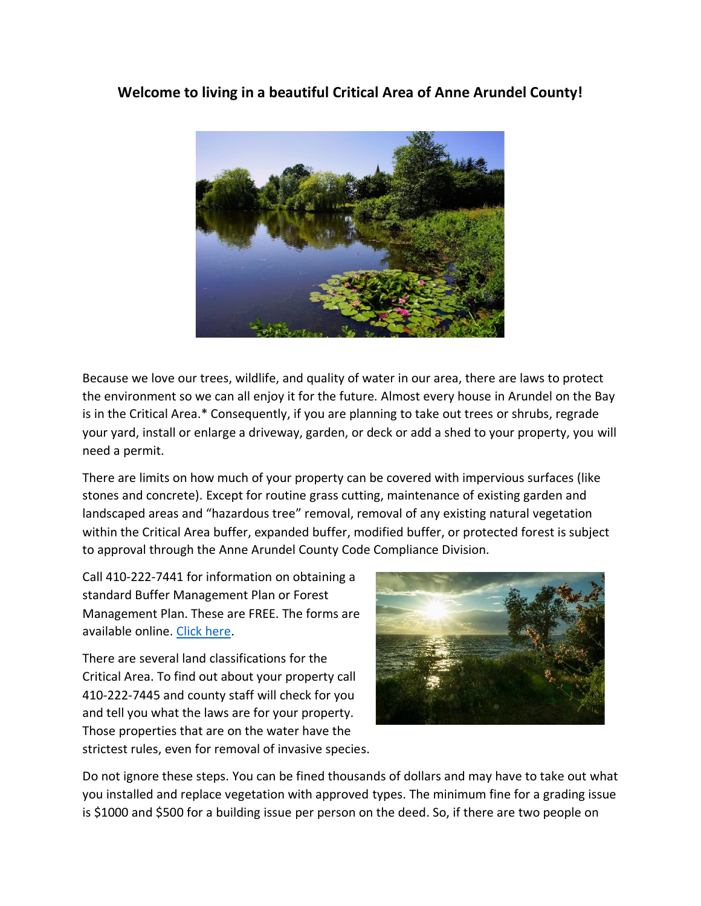## **Welcome to living in a beautiful Critical Area of Anne Arundel County!**



Because we love our trees, wildlife, and quality of water in our area, there are laws to protect the environment so we can all enjoy it for the future. Almost every house in Arundel on the Bay is in the Critical Area.\* Consequently, if you are planning to take out trees or shrubs, regrade your yard, install or enlarge a driveway, garden, or deck or add a shed to your property, you will need a permit.

There are limits on how much of your property can be covered with impervious surfaces (like stones and concrete). Except for routine grass cutting, maintenance of existing garden and landscaped areas and "hazardous tree" removal, removal of any existing natural vegetation within the Critical Area buffer, expanded buffer, modified buffer, or protected forest is subject to approval through the Anne Arundel County Code Compliance Division.

Call 410-222-7441 for information on obtaining a standard Buffer Management Plan or Forest Management Plan. These are FREE. The forms are available online. [Click here.](https://www.aacounty.org/services-and-programs/guidelines-for-vegetation-management-plan)

There are several land classifications for the Critical Area. To find out about your property call 410-222-7445 and county staff will check for you and tell you what the laws are for your property. Those properties that are on the water have the strictest rules, even for removal of invasive species.



Do not ignore these steps. You can be fined thousands of dollars and may have to take out what you installed and replace vegetation with approved types. The minimum fine for a grading issue is \$1000 and \$500 for a building issue per person on the deed. So, if there are two people on